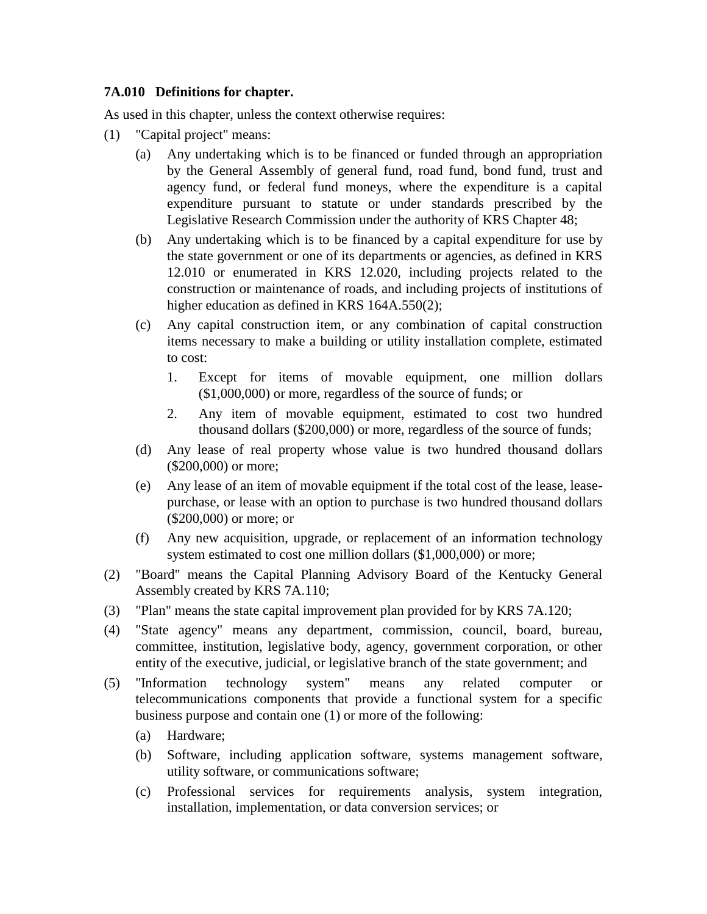## **7A.010 Definitions for chapter.**

As used in this chapter, unless the context otherwise requires:

- (1) "Capital project" means:
	- (a) Any undertaking which is to be financed or funded through an appropriation by the General Assembly of general fund, road fund, bond fund, trust and agency fund, or federal fund moneys, where the expenditure is a capital expenditure pursuant to statute or under standards prescribed by the Legislative Research Commission under the authority of KRS Chapter 48;
	- (b) Any undertaking which is to be financed by a capital expenditure for use by the state government or one of its departments or agencies, as defined in KRS 12.010 or enumerated in KRS 12.020, including projects related to the construction or maintenance of roads, and including projects of institutions of higher education as defined in KRS 164A.550(2);
	- (c) Any capital construction item, or any combination of capital construction items necessary to make a building or utility installation complete, estimated to cost:
		- 1. Except for items of movable equipment, one million dollars (\$1,000,000) or more, regardless of the source of funds; or
		- 2. Any item of movable equipment, estimated to cost two hundred thousand dollars (\$200,000) or more, regardless of the source of funds;
	- (d) Any lease of real property whose value is two hundred thousand dollars (\$200,000) or more;
	- (e) Any lease of an item of movable equipment if the total cost of the lease, leasepurchase, or lease with an option to purchase is two hundred thousand dollars (\$200,000) or more; or
	- (f) Any new acquisition, upgrade, or replacement of an information technology system estimated to cost one million dollars (\$1,000,000) or more;
- (2) "Board" means the Capital Planning Advisory Board of the Kentucky General Assembly created by KRS 7A.110;
- (3) "Plan" means the state capital improvement plan provided for by KRS 7A.120;
- (4) "State agency" means any department, commission, council, board, bureau, committee, institution, legislative body, agency, government corporation, or other entity of the executive, judicial, or legislative branch of the state government; and
- (5) "Information technology system" means any related computer or telecommunications components that provide a functional system for a specific business purpose and contain one (1) or more of the following:
	- (a) Hardware;
	- (b) Software, including application software, systems management software, utility software, or communications software;
	- (c) Professional services for requirements analysis, system integration, installation, implementation, or data conversion services; or